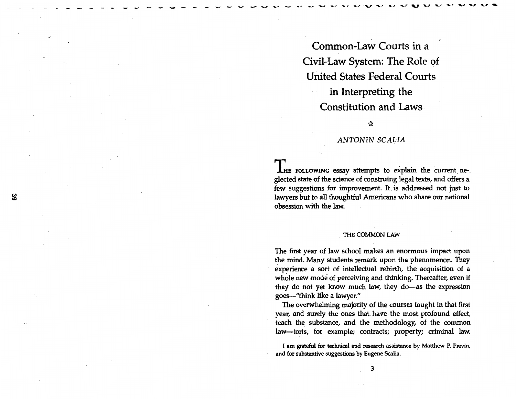Common-Law Courts in a Civil-Law System: The Role of United States Federal Courts in Interpreting the Constitution and Laws.

### ☆

# ANTONIN SCALIA

 $\mathbf{I}_{\text{HE}}$  rollowing essay attempts to explain the current ne-. glected state of the science of construing legal texts, and offers a few suggestions for improvement. It is addressed not just to· lawyers but to all thoughtful Americans who share our national obsession with the law.

### THE COMMON LAW

The first year of law school makes an enormous impact upon the mind. Many students remark upon the phenomenon. They experience a sort of intellectual rebirth, the acquisition of a whole new mode of perceiving and thinking. Thereafter, even if they do not yet know much law, they do-as the expression goes-"think like a lawyer."

The overwhelming majority of the courses taught in that first year, and surely the ones that have the most profound effect, teach the substance, and the methodology, of the common law-torts, for example; contracts; property; criminal law.

I am grateful for technical and research assistance by Matthew P. Previn, and for substantive suggestions by Eugene Scalia.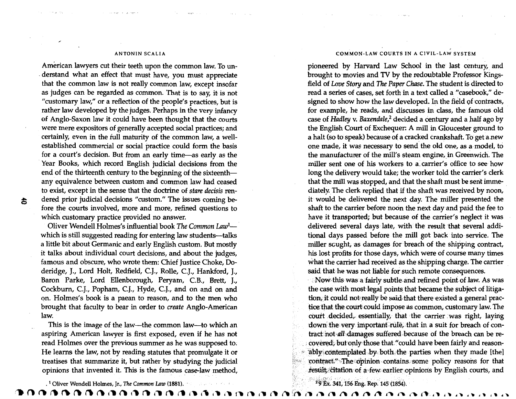American lawyers cut their teeth upon the common law. To un- . derstand what an effect that must have, you must appreciate that the common law is not really common law, except insofar as judges can be regarded as common. That is to say, it is not "customary law," or a reflection of the people's practices, but is rather law developed by the judges. Perhaps in the very infancy 0f Anglo-Saxon law it could have been thought that the courts were mere expositors of generally accepted social practices; and certainly, even in the full maturity of the common law, a wellestablished commercial or social practice could form the basis for a court's decision. But from an early time-as early as the Year Books, which record English judicial decisions from the end of the thirteenth century to the beginning of the sixteenthany equivalence between custom and common law had ceased to exist, except in the sense that the doctrine of *stare decisis* rendered prior judicial decisions "custom." The issues coming before the courts involved, more and more, refined questions to which customary practice provided no answer.

Oliver Wendell Holmes's influential book *The Common Law*<sup>1</sup> which is still suggested reading for entering law students-talks a little bit about Germanic and early English custom. But mostly it talks about individual court decisions, and about the judges, famous and obscure, who wrote them: Chief Justice Choke, Doderidge, J., Lord Holt, Redfield, C.J., Rolle, C.J., Hankford, J., Baron Parke, Lord Ellenborough, Peryam, C.B., Brett, J., Cockburn, C.J., Popham, C.J., Hyde, C.J., and on and on and on. Holmes's book is a paean to reason, and to the men who brought that faculty to bear in order to *create* Anglo-American law.

This is the image of the law—the common law—to which an aspiring American lawyer is first exposed, even if he has not read Holmes over the previous summer as he was supposed to; He learns the law, not by reading statutes that promulgate it or treatises that summarize it, but rather by studying the judicial opinions that invented it. This is the famous case-law method,

• 1 Oliver Wendell Holmes, Jr., The Common Law (1881). · *:* .··

# ' COMMON-LAW COURTS IN A CIVIL-LAW SYSTEM

pioneered by Harvard Law School in the last century, and brought to movies and TV by the redoubtable Professor Kingsfield of *Love Story* and *The Paper Chase.* The student is directed to read a series of cases, set forth in a text called a "casebook," designed to show how the law developed. In the field of contracts, for example, he reads, and discusses in class, the famous old case of *Hadley* v. *Baxendale}* decided a century and a half ago by the English Court of Exchequer: A mill in Gloucester ground to a halt (so to speak) because of a cracked crankshaft. To get anew one made, it was necessary to send the old one, as a model, to the manufacturer of the mill's steam engine, in Greenwich. The miller sent one of his workers to a. carrier's office to see how long the delivery would take; the worker told the carrier's clerk that the mill was stopped, and that the shaft must be sent immediately. The clerk replied that if the shaft was received by noon, it would be delivered the next day. The miller presented the shaft to the carrier before noon the next day and paid the fee to have it transported; but because of the carrier's neglect it was delivered several days· late, with the result that several additional days passed before the mill got back into service. The miller scught, as damages for breach of the shipping contract, his lost profits for those days, which were of course many times what the carrier had received as the shipping charge. The carrier said that he was not liable for such remote consequences.

Now this was a fairly subtle and refined point of law. As was the case with most legal points that became the subject of litigation, it could not really be said that there existed a general practice that the court could impose as common, customary law. The court decided, essentially, that the carrier was right, laying down the very important-rule, that in a suit for breach of contract not all damages suffered because of the breach can be recovered, but only those that "could have been fairly and reasonably contemplated by both the parties when they made [the] contract." The opinion contains some policy reasons for that result, citation of a few earlier opinions by English courts, and

 $29$  Ex. 341, 156 Eng. Rep. 145 (1854).

å

*:-.* (l r. " ~ {"\ ('\ (\ •" (\ I' ~ *{'* <sup>~</sup>*t'"t* '' '' '' '' 1111 r' '" t~ '~ '~t-. *s"* '" " ~ ~ " l't " '' '"' '"' 1'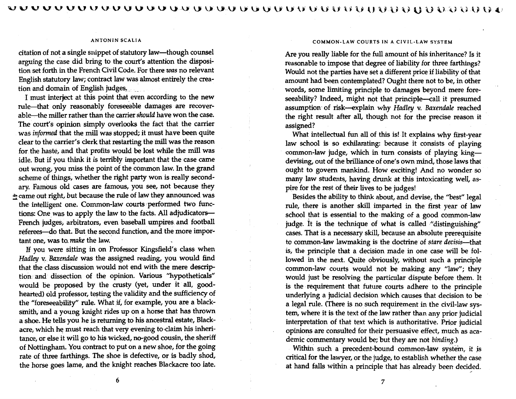citation of not a single snippet of statutory law-though counsel arguing the case did bring to the court's attention the disposition set forth in the French Civil Code. For there *was* no relevant English statutory law; contract law was almost entirely the creation and domain of English judges.

I must interject at this point that. even according to the new rule-that only reasonably foreseeable damages are recoverable-the miller rather than the carrier *should* have won the case. The court's opinion simply overlooks the fact that the carrier was *informed* that the mill was stopped; it must have been quite clear to the carrier's clerk that restarting the mill was the reason for. the haste, and that profits would be lost while the mill was idle. But if you think it is terribly important that the case came out wrong, you miss the point of the common law. In the grand scheme of things, whether the right party won is really secondary. Famous old cases are famous, you see, not because they ~came out right, but because the rule of law they announced was

the intelligent one. Common-law courts 'performed two functions: One was to apply the law to the facts. All adjudicators-French judges; arbitrators, even baseball umpires and football referees-do that. But the second function, and the more important one, was to. *make* the law.

If you were sitting in on Professor Kingsfield's class when *Hadley* v. *Baxendale* was the assigned reading, you would find that the class discussion would not end with the mere description and dissection of the opinion. Various ''hypotheticals" would be proposed by the crusty (yet, under it all, goodhearted) old professor, testing the validity and the sufficiency of the "foreseeability" rule. What if, for example, you are a blacksmith, and a young knight rides up on a horse that has thrown a shoe. He tells you he is returning to his ancestral estate, Blackacre, which he must reach that very evening to claim his inheritance, or else it will go to his wicked, no-good cousin, the sheriff of Nottingham. You contract to put on a new shoe, for the going rate of three farthings. The shoe is defective, or is badly shod, the horse goes lame, and the knight reaches Blackacre too late.

### COMMON-LAW COURTS IN A. CIVIL-LAW SYSTEM

Are you really liable for the full amount of his inheritance? Is it reasonable to impose that degree of liability for three farthings? Would not the parties have set a different price if liability of that amount had been contemplated? Ought there not to be, in other words, some limiting principle to damages beyond mere foreseeability? Indeed, might not that principle-call it presumed assumption· of risk-explain why *Hadley* v. *Baxendale* reached the right result after all, though not for the precise reason it assigned?

What intellectual fun all of this is! It explains why first-year law school is so exhilarating: because it consists of playing common-law judge, which in turn consists of playing kingdevising, out of the brilliance of one's own mind, those laws that ought to govern mankind. How exciting! And no wonder so many law students, having drunk at this intoxicating well, aspire for the rest of their lives to be judges!

Besides the ability to think about, and devise, the "best" legal rule, there is another skill imparted in the first year of law school that is essential to the making of a good common-law judge. It is the technique of what is called "distinguishing" cases. That is a necessary skill, because an absolute prerequisite to common-law lawmaking is the doctrine of *stare decisis-that*  is, the principle that a decision made in one case will be followed in the next. Quite obviously, without such a principle common-law courts would not be making any "law"; they would just be resolving the particular dispute before them. It is the requirement that future courts adhere to the principle underlying a judicial decision which causes that decision to be a legal rule. (There is no such requirement in the civil-law system, where it is the text of the law rather than any prior judicial interpretation of that text which is authoritative. Prior judicial opinions are consulted for their persuasive effect, much as academic commentary would be; but they are not *binding.)* 

Within such a precedent-bound common-law system, it is critical for the lawyer, or the judge, to establish whether the case at hand falls within a principle that has already been decided.

6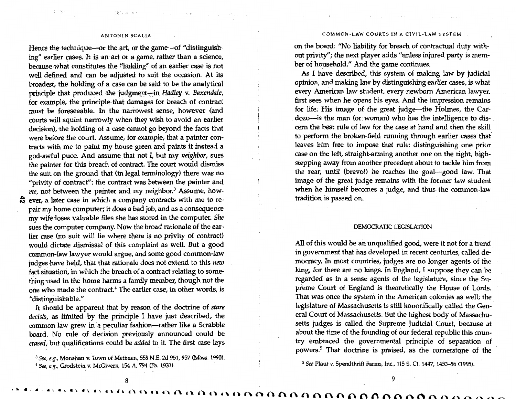#### COMMON-LAW COURTS IN A CIVIL-LAW SYSTEM

#### ANTONIN SCALIA

1802 B. Han

**CONTRACTOR** 

Hence the technique—or the art, or the game—of "distinguishing" earlier cases. It is an art or a game, rather than a science, because what constitutes the !'holding" of an earlier case is not well defined and can be adjusted to suit the occasion. At its broadest, the holding of. a case can be said· to be the analytical principle that produced the judgment-in *Hadley v. Baxendale*, for example, the principle that damages for breach of contract must be foreseeable. In the narrowest sense, however (and courts will squint narrowly when they wish to avoid an earlier decision), the holding of a case cannot go beyond the facts that were before the court. Assume, for example, that a painter contracts with me to paint my house green and paints it instead a god-awful puce. And assume that not I, but my *neighbor,* sues the painter for this breach of contract. The court would dismiss the suit on the ground that (in legal terminology) there was no "privity of contract": the contract was between the painter and *me,* not between the painter and my neighbor.3 Assume, how-  $\stackrel{\bullet}{\sim}$  ever, a later case in which a company contracts with me to repair my home computer; it does a bad job, and as a consequence my wife loses valuable files she has stored in the computer. *She*  sues the computer company. Now the broad rationale of the earlier case (no suit will lie where there is no privity of contract) would dictate dismissal of this complaint as well. But a good common-law lawyer would argue, and some good common-law judges have held, that that rationale does not extend to this *new* fact situation, in which the breach of a contract relating to something used in the home harms a family member, though not the one who made the contract.4 The earlier case, in other words, is

It should be apparent that by reason of the doctrine of *stare decisis,* as limited by the principle I have just described, the common law grew in a peculiar fashion-rather like a Scrabble board. No rule of decision previously announced could be *erased,* but qualifications could be *added* to it. The first case lays

"distinguishable."

<sup>3</sup>*See, e.g.,* Monahan v. Town of Methuen, 558 N.E. 2d 951, 957 (Mass. 1990). <sup>4</sup>*See, e.g.,* Grodstein, v. McGivern, 154 A. 794 (Pa. 1931).

ennananananananananananananan

on the board: "No liability for breach of contractual duty without privity"; the next player adds "unless injured party is member of household." And the game continues.

As I have described, this system of making law by judicial opinion, and making law by distinguishing earlier cases, is what every American law student, every newborn American lawyer, first sees when he opens his eyes. And the impression remains for life. His image of the great judge-the Holmes, the Car- . dozo-is the man (or woman) who has the intelligence to discern the best rule of law for the case at hand and then the skill to perform the broken-field running through earlier cases that' leaves him free to impose that rule: distinguishing one prior case on the left, straight-arming another one on the right, highstepping away from another precedent about to tackle him from the rear, until (bravo!) he reaches the goal-good law. That image of the great judge remains with the former law student when he himself becomes a judge, and thus. the common-law tradition is passed on.

# DEMOCRATIC LEGISLATION

All of this would be an unqualified good, were it not for a trend in government that has developed in recent centuries, called democracy. In most countries, judges are no longer agents of the king, for there are no kings. In England, I suppose they can be regarded as in. a sense agents of the legislature, since the Supreme Court of England is theoretically the House of Lords. That was once the system in the American colonies as well; the legislature of Massachusetts is still honorifically called the General Court of Massachusetts. But the highest body of Massachusetts judges is called the Supreme Judicial Court, because at about the time of the founding of our federal republic this country embraced the governmental principle of separation of powers.<sup>5</sup> That doctrine is praised, as the cornerstone of the

<sup>5</sup>*See* Plaut v. Spendthrift Farms, Inc., 115 5. Ct. 1447, 1453-56 (1995).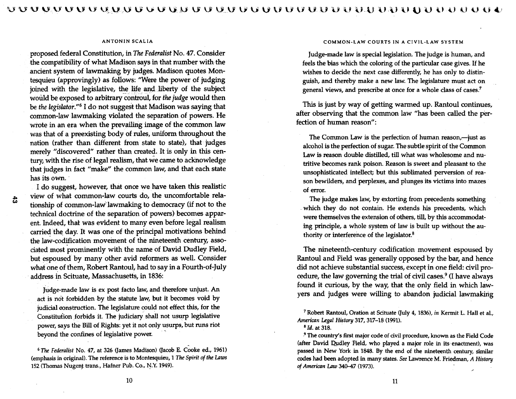proposed federal Constitution, in The *Federalist* No. 47. Consider the compatibility of what Madison says in that number with the ancient system of lawmaking by judges. Madison quotes Montesquieu (approvingly) as follows: "Were the power of judging joined with the legislative, the life and liberty of the subject would be exposed to arbitrary controul, for *the judge* would then be *the legislator."6* I do not suggest that Madison was saying that common-law lawmaking violated the separation of powers. He wrote in an era when the prevailing image of the common law was that of a preexisting body of rules, uniform throughout the nation (rather than different from state to state), that judges merely "discovered" rather than created. It is only in this century, with the rise of legal realism, that we came to acknowledge that judges in fact "make" the common law, and that each state has its own.

I do suggest, however, that once we have taken this realistic view of what common-law courts do, the uncomfortable relationship of common-law' lawmaking to democracy (if not to the technical doctrine of the separation of powers) becomes apparent. Indeed, that was evident to many even before legal realism carried the day. It was one of the principal motivations behind the law-codification movement of the nineteenth century, associated most prominently with the name of David Dudley Field, but espoused by many other avid reformers as well. Consider what one of them, Robert Rantoul, had to say in a Fourth-of-July address in Scituate, Massachusetts, in 1836:

益

Judge-made law is ex post facto law, and therefore unjust. An act is not forbidden by the statute law, but it becomes void by judicial construction. The legislature could not effect this, for the Constitution forbids it. The judiciary shall not usurp legislative power, says the Bill of Rights: yet it not only usurps, but runs riot beyond the confines of legislative power. '

- <sup>6</sup>*The Federalist* No. 47, at 326 (James Madison) (Jacob E. Cooke ed., 1961) (emphasis in original). The reference is to Montesquieu, 1 *The Spirit of the Laws*  152 (Thomas Nugent trans., Hafner Pub. Co., N.Y. 1949).

#### COMMON-LAW COURTS IN A CIVIL-LAW SYSTEM

Judge-made law is special legislation. The judge is human, and feels the bias which the coloring of the particular case gives. If he wishes to decide the next case differently, he has only to distinguish, and thereby make a new law. The legislature must act on general views, and prescribe at once for a whole class of cases?

This is just by way of getting warmed up. Rantoul continues, after observing that the common law "has been called the perfection of human reason":

The Common Law is the perfection of human reason,-just as alcohol is the perfection of sugar. The subtle spirit of the Common Law is reason double distilled, till what was wholesome and nutritive becomes rank poison. Reason is sweet and pleasant to the unsophisticated intellect; but this sublimated perversion of reason bewilders, and perplexes, and plunges its victims into mazes of error.

The judge makes law, by extorting from precedents something . which they do not contain. He extends his precedents, which were themselves the extension of others, till, by this accommodating principle, a whole system of law is built up without the authority or interference of the legislator.8

The nineteenth-century codification movement espoused by Rantoul and Field was generally opposed by the bar, and hence did not achieve substantial success, except in one field: civil procedure, the law governing the trial of civil cases.<sup>9</sup> (I have always found it curious, by the way, that the only field in which lawyers and judges were willing to abandon judicial lawmaking

<sup>7</sup>Robert Rantoul, Oration at Scituate (July 4, 1836), *in* Kermit L. Hallet al., *American Legal History* 317, 317-18 (1991). 8 *Id.* at 318.

<sup>9</sup> The country's first major code of civil procedure, known as the Field Code (after David Qudley Field, who played a major role in its enactment), was passed in New York in 1848. By the end of the nineteenth century, similar codes had been adopted in many states. *See* Lawrence M. Friedman, *A History of American Law* 340-47 (1973).

10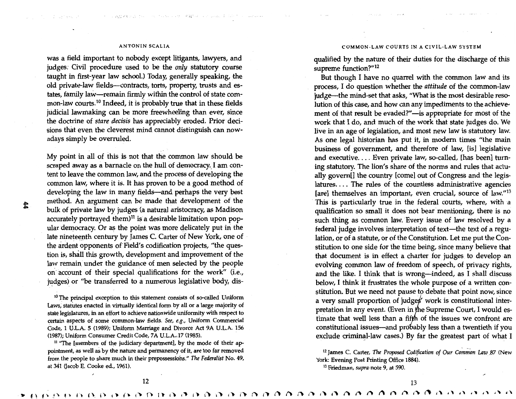id same

£

was a field important to nobody except litigants, lawyers, and judges; Civil procedure used to be the *only* statutory course taught in first-year law school.) Today, generally speaking, the old private-law fields--contracts, torts, property, trusts and estates, family law-remain firmly within the control of state common-law courts.10 Indeed, it is probably true that in these fields judicial lawmaking can be more freewheeling than ever, since the doctrine of *stare decisis* has appreciably eroded. Prior decisions that even the cleverest mind cannot distinguish can nowadays simply be overruled.

My point in all of this is not that the common law should be scraped away as a barnacle on the hull of democracy. I am content to leave the common law, and the process of developing the common law, where it is. It has proven to be a good method of developing the law in many fields-and perhaps the very best method. An argument can be made that development of the bulk of private law by judges (a natural aristocracy, as Madison accurately portrayed them)<sup>11</sup> is a desirable limitation upon popular democracy. Or as the point was more delicately put in the late nineteenth century by James C. Carter of New York, one of the ardent opponents of Field's codification projects, "the question is, shall this growth, development and improvement of the law remain under the guidance of men selected by the people on' account of their special qualifications for the work" (i.e., judges) or "be transferred to a numerous legislative body, dis-

<sup>10</sup> The principal exception to this statement consists of so-called Uniform Laws, statutes enacted in virtually identical form by all or a large majority of state legislatures, in an effort to achieve nationwide uniformity with respect to certain aspects of some common-law fields. *See, e.g.,* Uniform Commercial Code, 1 U.L.A. 5 (1989); Uniform Marriage and Divorce Act 9A U.L.A. 156 (1987); Uniform Consumer Credit Code, 7A U.L.A., 17 (1985).<br><sup>11</sup> "The [members of the judiciary department], by the mode of their ap-

pointment, as well as by the nature and permanency of it, are too far removed from the people to share much in their prepossessions." *The Federalist* No. 49, at 341 (Jacob E. Cooke ed., 1961).

#### COMMON-LAW COURTS IN A CIVIL-LAW SYSTEM

qualified by the nature of their duties for the discharge of this supreme function?"<sup>12</sup>

But though I have no quarrel with the common law and its process, I do question whether the *attitude* of the common-law judge—the mind-set that asks, "What is the most desirable resolution of this case, and how can any impediments to the achievement of that result be evaded?"-is appropriate for most of the work that I do, and much of the work that state judges do. We live in an age of legislation, and most new law is statutory law. As one legal historian has put it, in modern times "the main business of government, and therefore of law, [is] legislative and executive.... Even private law, so-called, [has been] turning statutory. The lion's share of the norms and rules that actually govern[} the country [come) out of Congress and the legislatures.... The rules of the countless administrative agencies [are] themselves an important, even crucial, source of law."<sup>13</sup> This is particularly true in the federal courts, where, with a qualification so small it does not bear mentioning, there is no such thing as common law. Every issue of law resolved by a federal judge involves interpretation of text-the text of a regulation, or of a statute, or of the Constitution. Let me put the Constitution to one side for the time being, since many believe that that document is in effect a charter for judges to develop an evolving common law of freedom of speech, of privacy rights, and the like. I think that is wrong-indeed, as I shall discuss below, I think it frustrates the whole purpose of a written constitution. But we need not pause to debate that point now, since a very small proportion of judges' work is constitutional interpretation in any event. (Even in the Supreme Court, I would estimate that well less than a fifth of the issues we confront are constitutional issues-and probably less than a twentieth if you exclude criminal-law cases.) By far the greatest part of what I

<sup>12</sup> James C. Carter, *The Proposed Codification of Our Common Law 87* (New York: Evening Post Printing Office 1884). 13 Friedman, *supra-note* 9, at 590.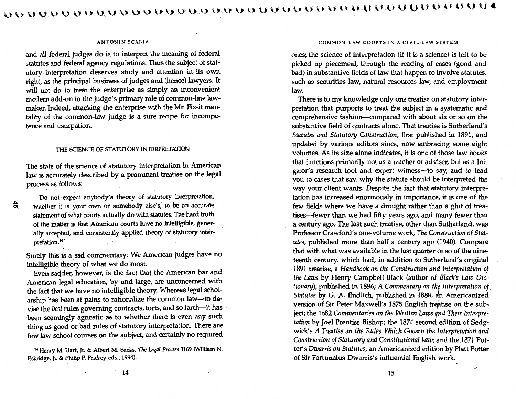and all federal judges do is to interpret the meaning of federal statutes and federal agency regulations. Thus the subject of statutory interpretation deserves study and attention in its own. right, as the principal business of judges and (hence) lawyers. It will not do to treat the enterprise as simply an inconvenient modern add-on to the judge's primary role of common-law lawmaker. Indeed, attacking the enterprise with the Mr. Fix-it mentality of the common-law. judge is a sure recipe for incompetence and usurpation.

# THE SCIENCE OF STATUTORY INTERPRETATION

The state of the science of statutory interpretation in American law is accurately described by a prominent treatise on the legal process as follows:

Do not expect anybody's theory of statutory interpretation, whether it is your own or somebody else's, to be an accurate statement of what courts actually do with statutes. The hard truth of the matter is that American courts have no intelligible, generally accepted, and consistently applied theory of statutory interpretation.<sup>14</sup>

Surely this is a sad commentary: We American judges have no intelligible theory of what we do most.

Even saqder, however, is the fact that the American bar and American legal education, by and large, are unconcerned with the fact that we have no intelligible theory. Whereas legal scholarship has been at pains to rationalize the common law-to devise the *best* rules governing contracts, torts, and so forth-it has been seemingly agnostic as to whether there is even any such thing as good or bad rules of statutory interpretation. There are few law-school courses on the subject, and certainly no required

14 Henry M. Hart, Jr. & Albert M. Sacks, The *Legal Process* 1169 (William N. Eskridge, Jr. & Philip P. Frickey eds., 1994).

#### COMMON-LAW COURTS IN A CIVIL-LAW SYSTEM

ones; the science of interpretation (if it is a science) is left to be picked up piecemeal, through the reading of cases (good and bad) in substantive fields of law that happen to involve statutes, such as securities law, natural resources law, and employment law.

There is to my knowledge only one treatise on statutory interpretation that purports to treat the subject in a systematic and comprehensive fashion-compared with about six or so on the substantive field of contracts alone. That treatise is Sutherland's *Statutes and Statutory Construction,* first published in 1891, and updated by various editors since, now embracing some eight volumes. As its size alone indicates, it is one of those law books that functions primarily not as a teacher or adviser, but as a litigator's research tool and expert witness-to say, and to lead you to cases that say, why the statute should be interpreted the way your client wants. Despite the fact that statutory interpretation has increased enormously in importance, it is one of the few fields where we have a drought rather than a glut of treatises-fewer than we had fifty years ago, and many fewer than a century ago. The last such treatise, other than Sutherland, was Professor Crawford's one-volume work, *The Construction of Statutes,* published more than half a century ago (1940). Compare that with what was available in the last quarter or so of the nineteenth century, which had, in addition to Sutherland's original 1B91 treatise, a *Handbook on the Construction and Interpretation of the Laws* by Henry Campbell Black (author of *Black's Law Dictionary),* published in 1896; *A Commentary* on\_t~ *Interpretation of. Statutes by G. A. Endlich, published in 1888, an Americanized* version of Sir Peter Maxwell's 1875 English treatise on the subject; the 1882 Commentaries on the Written Laws and Their Interpre*tation* by Joel Prentiss Bishop; the 1874 second edition of Sedgwick's *A Treatise on the Rules Which Govern the Interpretation and Construction of Statutory and Constitutional Law;* and the \_1871 Potter's *Dwarris on Statutes,* an Americanized edition by Platt Potter of Sir Fortunatus Dwarris's influential English work.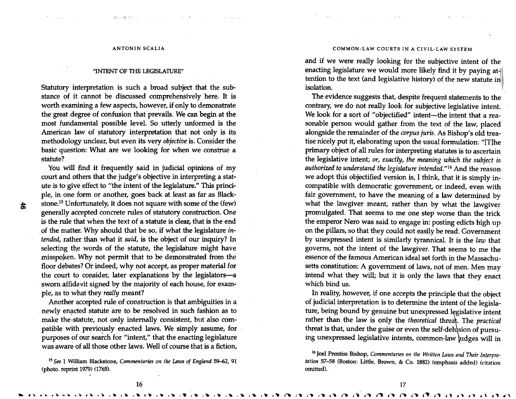$\mathcal{F} \rightarrow \mathcal{F} \rightarrow \mathcal{F}$ 

 $\frac{1}{6}$ 

#### ANTONIN SCALIA

# "INTENT OF THE LEGISLATURE"

Statutory interpretation is such a broad subject that the substance of it cannot be discussed comprehensively here. It is worth examining a few aspects, however, if only to demonstrate the great degree of confusion that prevails. We can begin at the most fundamental possible level. So utterly unformed is the American law of statutory interpretation that not only is its methodology unclear, but even its very *objective* is. Consider the basic question: What are we looking for when we construe a statute?

You will find it frequently said in judicial opinions of my court and others that the judge's objective in interpreting a statute is to give effect to "the intent of the legislature." This principle, in one form or another, goes back at least as far as Blackstone.15 Unfortunately, it does not square with some of the (few) generally accepted concrete rules of statutory construction. One is the rule that when the text of a statute is clear, that is the end of the matter. Why should that be so, if what the legislature *intended, rather than what it said, is the object of our inquiry? In* selecting the words of the statute, the legislature might have misspoken. Why not permit that to be demonstrated from the floor debates? Or indeed, why not accept, as proper material for the court to consider, later explanations by the legislators-a sworn affidavit signed by the majority of each house, for example, as to what they *really* meant?

Another accepted rule of construction is that ambiguities in a newly enacted statute are to be resolved in such fashion as to make the ·statute, not only internally consistent, but also compatible with previously enacted laws. We simply assume, for purposes of our search for "intent," that the enacting legislature was aware of all those other laws. Well of course that is a fiction,

<sup>15</sup> See 1 William Blackstone, *Commentaries on the Laws of England* 59–62, 91 (photo. reprint 1979) (1765).

## COMMON-LAW COURTS IN A CIVIL-LAW SYSTEM

Ask.

and if we were really looking for the subjective intent of the enacting legislature we would more likely find it by paying attention to the text (and legislative history) of the new statute in isolation.

The evidence suggests that, despite frequent statements to the contrary, we do not really look for subjective legislative intent. We look for a sort of "objectified" intent-the intent that a reasonable person would gather from the text of the law, placed alongside the remainder of the *corpus juris.* As Bishop's old treatise nicely put it, elaborating upon the usual formulation: "[T]he primary object of all rules for interpreting statutes is to ascertain the legislative intent; *or, exactly, the meaning which the subject is authorized to understand the legislature intended."16* And the reason we adopt this objectified version is, I think, that it is simply incompatible with democratic government, or indeed, even with fair government, to have the meaning of a law determined by what the lawgiver meant, rather than by what the lawgiver promulgated. That seems to me one step worse than the trick the emperor Nero was said to engage in: posting edicts high up on the pillars, so that they could not easily be read. Government by unexpressed intent is similarly tyrannical. It is the *law* that governs, not the intent of the lawgiver. That seems to me the essence of the famous American ideal set forth in the Massachusetts constitution: A government of laws, not of men. Men may intend what they will; but it is only the laws that they enact which bind us.

In reality, however, if one accepts the principle that the object of judicial interpretation is to determine the intent of the legislature, being bound by genuine but unexpressed legislative intent rather than the law is only the *theoretical* threat. The *practical* threat is that, under the guise or even the self-delusion of pursuing unexpressed legislative intents, common-law judges will in

<sup>16</sup> Joel Prentiss Bishop, *Commentaries on the Written Laws and Their Interpretation* 57-58 (Boston: Little, Brown, & Co. 1882) (emphasis added) (citation omitted).

' '

'

 $A$   $A$   $A$   $B$   $A$   $B$   $A$   $B$   $A$   $A$   $A$   $A$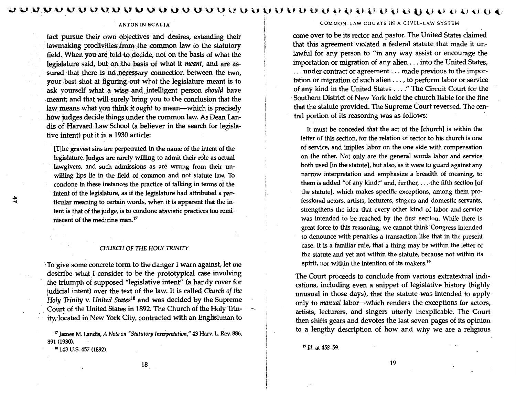fact pursue their own objectives and desires, extending their lawmaking proclivities from the common law to the statutory field. When you are told to decide, not on the basis of what the legislature said, but on the basis of what it *meant*, and are assured that there is no necessary connection between the two, your best shot at figuring out what the legislature meant is to ask yourself what a wise and intelligent person *should* have meant; and that will surely bring you to the conclusion that the law means what you think it *ought* to mean-which is precisely how judges decide things under the common law. As Dean Landis of Harvard Law School (a believer in the search for legislative intent) put it in a 1930 article:

[T]he gravest sins are perpetrated in the name of the intent of the legislature. Judges are rarely willing to admit their role as actual lawgivers, and such admissions as are wrung from their unwilling lips lie in the field of common and not statute law. To condone in these instances the practice of talking in terms of the intent of the legislature, as if the legislature had attributed a particular meaning to certain words, when it is apparent that the intent is that of the judge, is to condone atavistic practices too remi niscent of the medicine man.<sup>17</sup>

### *CHURCH OF THE HOLY TRINITY*

·To give some concrete form to the danger I warn against, let me describe what I consider to be the prototypical case involving .the triumph of supposed "legislative intent" (a handy cover for judicial intent) over the text of the law. It is called *Church of the Holy· Trinity* v. *United States*18 and was decided by the Supreme Court of the United States in 1892. The Church of the Holy Trinity, located in New York City, contracted with an Englishman to

17 James M. Landis, *A Note on "Statutory Interpretation,"* 43 Harv. L. Rev. 886, 891 (1930).

<sup>18</sup> 143 U.S. 457 (1892).

### COMMON-LAW COURTS IN A CIVIL-LAW SYSTEM

come over to be its rector and pastor. The United States claimed that this agreement violated a federal statute that made it unlawful for any person to "in any way assist or encourage the importation or migration of any alien ... into the United States, ... under contract or agreement ... made previous to the importation or migration of such alien ... , to perform labor or service of any kind in the United States .... " The Circuit Court for the Southern District of New York held the church liable for the fine that the statute provided. The Supreme Court reversed. The central portion of its reasoning was as follows:

It must be conceded that the act of the [church] is within the letter of this section, for the relation of rector to his church is one of service, and implies labor on the one side with compensation on the other. Not only are the general words labor and service both used [in the statute], but also, as it were to guard against any narrow interpretation and emphasize a breadth of meaning, to them is added "of any kind;" and, further, ... .the fifth section [of the statute], which makes specific exceptions, among them professional actors, artists, lecturers, singers and domestic servants, strengthens the idea that every other kind of labor and service was intended to be reached by the first section. While there is great force to this reasoning, we cannot think Congress intended to denounce with penalties a transaction like that in the present case. It is a familiar rule, that a thing may be within the letter of the statute and yet not within the statute, because not within its spirit, nor within the intention of its makers.<sup>19</sup>

The Court proceeds to conclude from various extratextual indications, including even a snippet of legislative history (highly unusual in those days), that the statute was intended to apply only to *manual* labor-which renders the exceptions for actors, artists, lecturers, and singers utterly inexplicable. The Court then shifts gears and devotes the last seven pages of its opinion to a lengthy description of how and why we are a religious

<sup>19</sup>*Id.* at 458-59.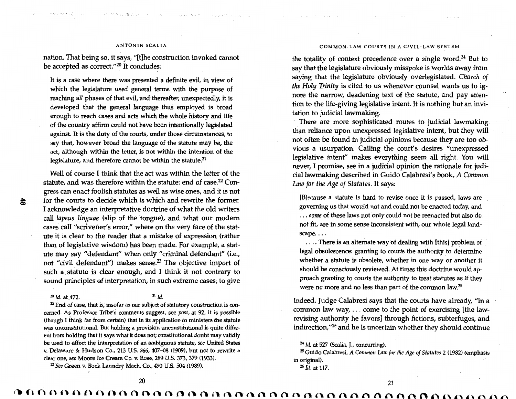# COMMON-LAW COURTS IN A CIVIL-LAW SYSTEM

### ANTONIN SCALIA

Dear of the complete the real approaches the community of these are

nation. That being so, it says, "[t]he construction invoked cannot be accepted as correct."<sup>20</sup> It concludes:

It is a case where there was presented a definite evil, in view of which the legislature used general terms with the purpose of reaching all phases of that evil, and thereafter, unexpectedly, it is developed that the general language thus employed is broad enough to reach cases and acts which the whole history and life of the country affirm could not have been intentionally legislated against. It is the duty of the courts, under those circumstances, to say that, however broad the language of the statute may be, the act, although within the letter, is not within the intention of the legislature, and therefore cannot be within the statute.<sup>21</sup>

Well of course I think that the act was within the letter of the statute, and was therefore within the statute: end of case.<sup>22</sup> Congress can enact foolish statutes as well as wise ones, and it is not for the courts to decide which is which and rewrite the former. I acknowledge an interpretative doctrine of what the old writers call *lapsus ,linguae* (slip of the\_ tongue), and what our modern cases call "scrivener's error," where on the very face of the statute it is clear to the reader that a mistake of expression (rather than of legislative wisdom) has been made. For example, a statute may say "defendant" when only "criminal defendant" (i.e., not "civil defendant") makes sense.<sup>23</sup> The objective import of such a. statute is clear enough, and I think it not contrary to sound principles of interpretation, in such extreme cases; to give

 $^{20}$  *Id.* at 472. <sup>21</sup> *Id.* 

 $\frac{4}{10}$ 

الأفاء فكرود الأداءة

'

 $22$  End of case, that is, insofar as our subject of statutory construction is concerned.~ Professor Tribe's comments suggest, see *post,* at 92, it is possible (though I think far from certain) that in its application to ministers the statute was unconstitutional. But holding a provision unconstitutional is quite different from holding that it says what it does not; constitutional doubt may validly be used to affect the interpretation of an ambiguous statute, *see* United States v. Delaware & Hudson Co., 213 U.S. 366, 407-08 (1909), but not to rewrite a clear one, *see* Moore Ice Cream Co. v. Rose, 289 U.S. 373, 379 (1933).<br><sup>23</sup> *See* Green v. Bock Laundry Mach. Co., 490 U.S. 504 (1989).

the totality of context precedence over a single word.<sup>24</sup> But to say that the legislature obviously misspoke is worlds away from saying that the legislature obviously overlegislated. *Church of the Holy Trinity* is cited to us whenever counsel wants us to ignore the narrow, deadening text of the statute, and pay attention to the life-giving legislative intent. It is nothing but an invitation to judicial lawmaking.

- There are more sophisticated routes to judicial lawmaking than reliance upon unexpressed legislative intent, but they will not often be found in judicial opinions because they are too obvious a usurpation. Calling the court's desires "unexpressed legislative intent'' makes everything seem all right. You will never, I promise, see in a judicial opinion the rationale for judicial lawmaking described in Guido Calabresi' s book, *A Common*  Law *for the Age of Statutes.* It says:

[B]ecause a statute is hard to revise once it is passed, laws are governing us that would not and could not be enacted today, and ... *some* of these laws not only could not be reenacted but also do not fit, are in some sense inconsistent with, our whole legal landscape....

. . . . There is an alternate way of dealing with [this] problem of legal obsolescence: granting to courts the authority to determine whether a statute is obsolete, whether in one way or another it should be consciously reviewed. At times this doctrine would approach granting to courts the authority to treat statutes as if they were no more and no less than part of the common law.<sup>25</sup>

Indeed. Judge Calabresi says that the courts have already, "in a common law way, ... come to the point of exercising [the lawrevising authority he favors] through fictions, subterfuges, and indirection,"26 and he is uncertain whether they should continue

<sup>24</sup>*Id.* at 527 (Scalia,}.; concurring). 25 Guido Calabresi, *A Common* Law *for the Age of Statutes* 2 (1982)-(emphasis in original).

<sup>26</sup>*Id.* at 117.

**20** 20 21

*r-.* **f) n f)** ('\ '' **o t\ (' o o o o o f\** r~ **n o** '' n t"\ **n, n n n n o n '' n n n n n o n n** '" ,-, ,, "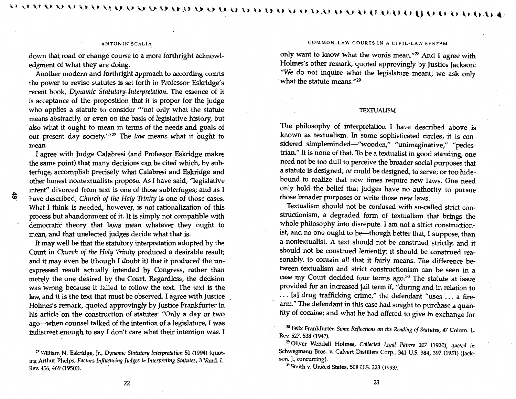down that road or change course to a more forthright acknowledgment of what they are doing.

Another modem and forthright approach to according courts the power to revise statutes is set forth in Professor Eskridge's recent book, *Dynamic Statutory Interpretation.* The essence of it is acceptance of the proposition that it is proper for the judge who applies a statute to consider "'not only what the statute means abstractly, or even on the basis of legislative history, but also what it ought to mean in terms of the needs and goals of our present day society.'"<sup>27</sup> The law means what it ought to mean.

I agree with Judge Calabresi (and Professor Eskridge makes the same point) that many decisions can be cited which, by subterfuge, accomplish precisely what Calabresi and Eskridge and other honest nontextualists propose. As I have said, "legislative intent" divorced from text is one of those subterfuges; and as I have described, *Church of the Holy Trinity* is one of those cases. What I think is needed, however, is not rationalization of this process but abandonment of it. It is simply not compatible with democratic theory that laws mean whatever they ought to mean, and that unelected judges decide what that is.

춥

It may well be that the statutory interpretation adopted by the Court in *Church of the Holy Trinity* produced a desirable result; and it may even be (though I doubt it) that it produced the unexpressed result actually intended by Congress, rather than merely the one desired by the Court. Regardless, the decision was wrong because it failed to follow the text. The text is the law, and it is the text that must be observed. I agree with Justice Holmes's remark, quoted approvingly by Justice Frankfurter in his article on the construction of statutes: "Only a day or two ago-when counsel talked of the intention of a legislature, I was indiscreet enough to say I don't care what their intention was. I

# COMMON-LAW COURTS IN A CIVIL-LAW SYSTEM

only want to know what the words mean."28 And I agree with Holmes's other remark, quoted approvingly by Justice Jackson: 'We do not inquire what the legislature meant; we ask only what the statute means."29

# TEXTUALISM

The philosophy of interpretation I have described above is known as textualism. In some sophisticated circles, it is considered simpleminded-"wooden," "unimaginative," "pedestrian." It is none of that. To be a textualist in good standing, one need not be too dull to perceive the broader social purposes that a statute is designed, or could be designed, to serve; or too hidebound to realize that new times require new laws. One need only hold the belief that judges have no authority to pursue those broader purposes or write those new laws.

Textualism should not be confused with so-called strict constructionism, a degraded form of textualism that brings the whole philosophy into disrepute. I am not a strict constructionist, and no one ought to be-though better that, I suppose, than a nontextualist. A text should not be construed strictly, and it should not be construed leniently; it should be construed reasonably, to contain all that it fairly means. The difference between textualism and strict constructionism can be seen in a case my Court decided four terms ago.<sup>30</sup> The statute at issue provided for an increased jail term if, "during and in relation to ... [a] drug trafficking crime," the defendant "uses ... a firearm." The defendant in this case had sought to purchase a quantity of cocaine; and what he had offered to give in exchange for

28 Felix Frankfurter, *Some Reflections on the Reading of Statutes,* 47 Colum. L. Rev. 527, 538 (1947).

29 Oliver Wendell Holmes, *Collected Legal Papers* 207 (1920), *quoted in*  Schwegmann Bros. v. Calvert Distillers Corp., 341 U.S. 384, 397 (1951) (Jackson, J., concurring).

30 Smith v. United States, 508 U.S. 223 (1993).

<sup>27</sup> William N. Eskridge, Jr., *Dynamic Statutory Interpretation* 50 (1994) (quoting Arthur Phelps, *Factors Influencing Judges in Interpreting Statutes,* 3 Vand. L. Rev. 456, 469 (1950)).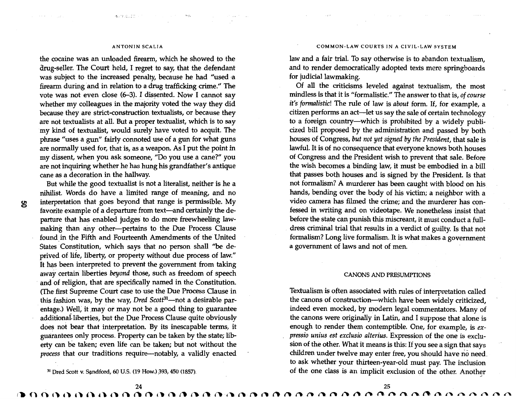#### COMMON-LAW COURTS IN A CIVIL-LAW SYSTEM

#### ANTONIN SCALIA

'.t· ·,· '-

 $\mathcal{F}(\mathcal{F}_n)$ 

the cocaine was an unloaded firearm, which he showed to the drug-seller. The Court held, I regret to say, that the defendant was subject to the increased penalty, because he had "used a firearm during and in relation to a drug trafficking crime." The vote was not even close  $(6-3)$ . I dissented. Now I cannot say whether my colleagues in the majority voted the way they did because they are strict-construction textualists, or because they are not textualists at all. But a proper textualist, which is to say my kind of textualist, would surely have voted to acquit. The phrase "uses a gun" fairly connoted use of a gun for what guns are normally used for, that is, as a weapon. As I put the point in my dissent, when you ask someone, "Do you use a cane?" you are not inquiring whether he has hung his grandfather's antique cane as a decoration in the hallway.

But while the good textualist is not a literalist, neither is he a nihilist. Words do have a limited range of meaning, and no interpretation that goes beyond that range is permissible. My favorite example of a departure from text-and certainly the departure that has enabled judges to do more freewheeling lawmaking than any other-pertains to the Due Process Clause found in the Fifth and Fourteenth Amendments of the United States Constitution, which says that no person shall "be deprived of life, liberty, or property without due process of law." It has been interpreted to prevent the government from taking away certain liberties *beyond* those, such as freedom of speech and of religion, that are specifically named in the Constitution. (The first Supreme Court case to use the Due Process Clause in this fashion was, by the way, Dred Scott<sup>31</sup>-not a desirable parentage.) Well, it may or may not be a good thing to guarantee additional~ liberties, but the Due Process Clause quite obviously does not bear that interpretation. By its inescapable terms, it guarantees only process. Property can be taken by the state; liberty can be taken; even life can be taken; but not without the process that our traditions require-notably, a validly enacted

<sup>31</sup> Dred Scott v. Sandford, 60 U.S. (19 How.) 393, 450 (1857).

law and a fair trial. To say otherwise is to abandon textualism, and to render democratically adopted texts mere springboards for judicial lawmaking.

Of all the criticisms leveled against textualism, the most mindless is that it is "formalistic." The answer to that is, *of course it's formalistic!* The rule of law is *about* form. If, for example, a citizen performs an act—let us say the sale of certain technology to a foreign country-which is prohibited by a widely publicized bill proposed by the administration and passed by both houses of Congress, *but not yet signed by the President,* that sale is lawful. It is of no consequence that everyone knows both houses of Congress and the President wish to prevent that sale. Before the wish becomes a binding law, it must be embodied in a bill that passes both houses and is signed by the President. Is that not formalism? A murderer has been caught with blood on his hands, bending over the body of his victim; a neighbor with a video camera has filmed the crime; and the murderer has confessed in writing and on videotape. We nonetheless insist that before the state can punish this miscreant, it must conduct a fulldress criminal trial that results in a verdict of guilty. Is that not formalism? Long live formalism. It is what makes a government a government of laws and not of men.

# CANONS AND PRESUMPTIONS

Textualism is often associated with rules of interpretation called the canons of construction--which have been widely criticized, indeed even mocked, by modern legal commentators. Many of the canons were originally in Latin, and I suppose that alone is enough to render them contemptible. One, for example, is *expressio unius est exclusio alterius.* Expression of the one is exclusion of the other. What it means is this: If you see a sign that says children under twelve may enter free, you should have no need. to ask whether your thirteen-year-old must pay. The inclusion of the one class is an implicit exclusion of the other. Another

ဠ

contractor and

 $\bullet$  ()  $\bullet$  ()  $\bullet$  ()  $\bullet$  ()  $\bullet$  ()  $\bullet$  ()  $\bullet$  ()  $\bullet$  ()  $\bullet$  ()  $\bullet$  ()  $\bullet$  ()  $\bullet$  ()  $\bullet$  ()  $\bullet$  ()  $\bullet$  ()  $\bullet$  ()  $\bullet$  ()  $\bullet$  ()  $\bullet$  ()  $\bullet$  ()  $\bullet$  ()  $\bullet$  ()  $\bullet$  ()  $\bullet$  ()  $\bullet$  ()  $\bullet$  ()  $\bullet$  ()  $\bullet$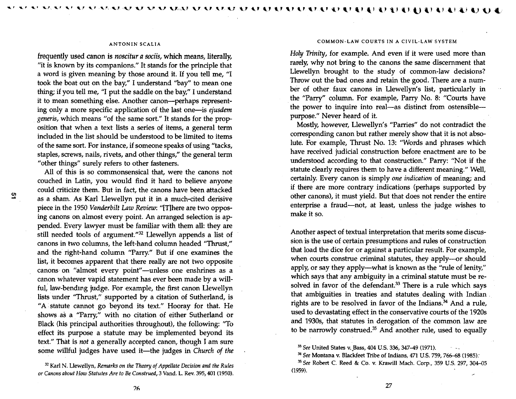'' '-' '' '- <sup>1</sup> · '-' '-' '' '-' '- •. '-}' ··'-' '-' '"" '" '--'·'· .. \..l '-' '- <sup>1</sup>'- <sup>1</sup>*:t.\_J* '\.' 4. r '' 'J 'J 'J '' \c' '(. J • ' a ' a 1 :ill , 'Iii J ,,. • l) Ji 1 a\_ 1 ' ' ' ' ·~ ' , ' ' 4.! *... ) ')* u .. /

frequently used canon is *noscitur a sociis*, which means, literally, "it is known by its companions." It stands for the principle that a word is given meaning by those around it. If you tell me, "I took the boat out on the bay," I understand "bay" to mean one thing; if you tell me, "I put the saddle on the bay," I understand it to mean something else. Another canon-perhaps representing only a more specific application of the last one-is *ejusdem generis,* which means "of the same sort." It stands for the proposition that when a text lists a series of items, a general term included in the list should be understood to be limited to items of the same sort. For instance, if someone speaks of using "tacks, staples, screws, nails, rivets, and other things," the general term "other things" surely refers to other fasteners.

All of this is so commonsensical that, were the canons not couched in Latin, you would find it hard to believe anyone could criticize them. But in fact, the canons have been attacked as a sham. As Karl Llewellyn put it in. a much-cited derisive piece in the 1950 *Vanderbilt Law Review:* "[T]here are two opposing canons on. almost every point. An arranged selection is appended. Every lawyer must be familiar with them all: they are still needed tools of argument."32 Llewellyn appends a list of canons in two columns, the left-hand column headed "Thrust," and the right-hand column "Parry." But if one examines the list, it becomes apparent that there really are not two opposite canons on "almost every point"-unless one enshrines as a canon whatever vapid statement has ever been made by a willful, law-bending judge. For example, the first canon Llewellyn lists under "Thrust," supported by a citation of Sutherland, is "A statute cannot go beyond its text." Hooray for that. He shows as a "Parry," with no citation of either Sutherland or Black (his principal authorities throughout), the following: "To effect its purpose a statute may be implemented beyond its text." That is *not* a generally accepted canon, though I am sure some willful judges have used it-the judges in *Church of the* 

U1 ...

#### COMMON-LAW COURTS IN A CIVIL-LAW SYSTEM

*Holy Trinity,* for example. And even if it were used more than rarely, why not bring to the canons the same discernment that Llewellyn brought to the study of common-law decisions? Throw out the bad ones and retain the good. There are a number of other faux canons in Llewellyn's list, particularly in the "Parry" column. For example, Parry No. 8: "Courts have the power to inquire into real-as distinct from ostensiblepurpose." Never heard of it.

Mostly, however, Llewellyn's "Parries" do not contradict the corresponding canon but rather merely show that it is not absolute. For example, Thrust No. 13: "Words and phrases which have received judicial construction before enactment are to be understood according to that construction." Parry: "Not if the statute clearly requires them to have a different meaning." Well, certainly. Every canon is simply *one indication* of meaning; and if there are more contrary indications (perhaps supported by other canons), it must yield. But that does not render the entire enterprise a fraud--not, at least, unless the judge wishes to make it so.

Another aspect of textual interpretation that merits some discussion is the use of certain presumptions and rules of construction that load the dice for or against a particular result. For example, when courts construe criminal statutes, they apply---or should apply, or say they apply--what is known as the "rule of lenity," which says that any ambiguity in a criminal statute must be resolved in favor of the defendant. $33$  There is a rule which says that ambiguities in treaties and statutes dealing with Indian . rights are to be resolved in favor of the Indians. $34$  And a rule, used to devastating effect in the conservative courts of the 1920s and 1930s, that statutes in derogation of the common law are to be narrowly construed.<sup>35</sup> And another rule, used to equally

<sup>33</sup> See United States v. Bass, 404 U.S. 336, 347-49 (1971).

<sup>34</sup>*See* Montana v. Blackfeet Tribe of Indians, 471 U.S. 759, 766-68 (1985).-

<sup>&</sup>lt;sup>32</sup> Karl N. Llewellyn, *Remarks on the Theory of Appellate Decision and the Rules or Canons about How Statutes Are to Be Construed,* 3 Vand. L. Rev. 395,401 (1950).

<sup>35</sup>*See* Robert C. Reed & Co. v. Krawill Mach. Corp., 359 U.S. 297, 304-05 (1959).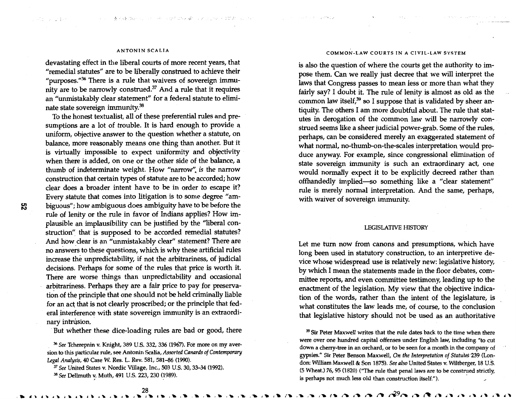a sela con a fem

•.•. '.,• ''1:·

#### ANTONIN SCALIA

devastating effect in the liberal courts of more recent years, that "remedial statutes" are to be liberally construed to achieve their "purposes."36 There is a rule that waivers of sovereign immunity are to be narrowly construed.<sup>37</sup> And a rule that it requires an "unmistakably clear statement" for a federal statute to eliminate state sovereign immunity.38

To the honest textualist, all of these preferential rules and presumptions are a lot of trouble. It is hard enough to provide a uniform, objective answer to the question whether a statute, on balance, more reasonably means one thing than another. But it is virtually impossible to expect uniformity and objectivity when there is added, on one or the other side of the balance; a thumb of indeterminate weight. How "narrow". *is* the narrow construction that certain types of statute are to be accorded; how clear does a broader intent have to be in order to escape it? Every statute. that comes into litigation is to some degree "ambiguous"; how ambiguous does ambiguity have to be before the rule of lenity or the rule in favor of Indians applies? How implausible an implausibility can be justified by the "liberal construction" that is supposed to be accorded remedial statutes? And how clear is an "unmistakably clear" statement? There are no answers to these questions, which is why these artificial rules increase the unpredictability, if not the arbitrariness, of judicial decisions. Perhaps for some of the rules that price is worth it. There are worse things than unpredictability and occasional arbitrariness. Perhaps they are a fair price to pay for preservation of the principle that one should not be held criminally liable for an act that is not clearly proscribed; or the principle that federal interference with state sovereign immunity is an extraordinary intrusion.

But whether these dice-loading rules are bad or good, there

36 See Tcherepnin v. Knight, 389 U.S. 332, 336 (1967). For more on my aversion to this particular rule, see Antonin Scalia, *Assorted Canards of Contemporary Legal Analysis,* 40 Case W. Res. L. Rev. 581, 581-86 (1990).

37 See United States v. Nordic Village, Inc., 503 U.S. 30, 33-34 (1992).

<sup>38</sup> See Dellmuth v. Muth, 491 U.S. 223, 230 (1989).

AN ANG NASANG ANG ANG AN

#### COMMON-LAW COURTS IN A CIVIL-LAW SYSTEM

is also the question of where the courts get the authority to impose them. Can we really just decree that we will interpret the laws that Congress passes to mean less or more than what they fairly say? I doubt it. The rule of lenity is almost as old as the common law itself, $39$  so I suppose that is validated by sheer antiquity. The others I am more doubtful about. The rule that statutes in derogation of the common law will be narrowly construed seems like a sheer judicial power-grab. Some of the rules, perhaps, can be considered merely an exaggerated statement of what normal, no-thumb-on-the-scales interpretation would produce anyway. For example, since congressional elimination of state sovereign immunity is such an extraordinary act, one would normally expect it to be explicitly decreed rather than offhandedly implied-so something like a "clear statement" rule is merely normal interpretation. And the same, perhaps, with waiver of sovereign immunity.

# LEGISLATIVE HISTORY

Let me turn now from canons and presumptions, which have long been used in statutory construction, to an interpretive device whose widespread use is relatively new: legislative history, by which I mean the statements made in the floor debates, committee reports, and even committee testimony, leading up to the enactment of the legislation. My view that the objective indication of the words, rather than the intent of the legislature, is what constitutes the law leads me, of course, to the conclusion that legislative history should not be used as an authoritative

<sup>39</sup> Sir Peter Maxwell writes that the rule dates back to the time when there were over one hundred capital offenses under English law, including "to cut down a cherry-tree in an orchard, or to be seen for a month in the company of gypsies." Sir Peter Benson Maxwell, *On the Interpretation of Statutes* '239 (Lo~ don: William Maxwell & Son 1875). *See also* United States v. Wiltberger, 18 U.S. (5 Wheat.) 76, 95 (1820) ("The rule that penal laws are to be construed strictly, is perhaps not much less old than construction itself.").

ន

 $\alpha$  a a a  $\alpha$  a a  $\alpha$  a  $\alpha^{29}$  a  $\alpha$  a  $\alpha$  a  $\alpha$  a  $\alpha$ 

source of perking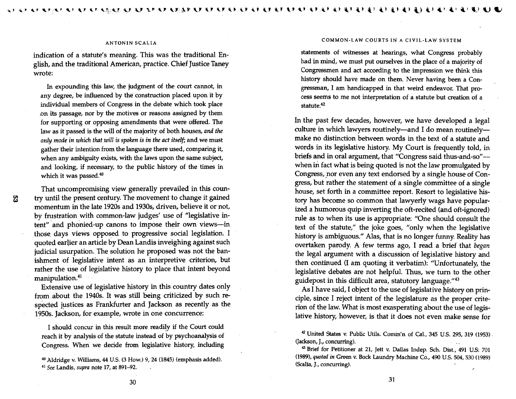indication of a statute's meaning. This was the traditional English, and the traditional American, practice. Chief Justice Taney wrote:

In expounding this law, the judgment of the court cannot, in any degree, be influenced by the construction placed upon it by individual members of Congress in the debate which took place bn its passage, nor by the motives or reasons assigned by them for supporting or opposing amendments that were offered. The law as it passed is the will of the majority of both houses, *and the only mode in which that will is spoken is in the act itself;* and we must gather their intention from the language there used, comparing it, when any ambiguity exists, with the laws upon the same subject, and looking, if necessary, to the public history of the times in which it was passed.<sup>40</sup>

That uncompromising view generally prevailed in this country until the present century. The movement to change it gained momentum in the late 1920s and 1930s, driven, believe it or not, by frustration with common-law judges' use of "legislative intent" and phonied-up canons to impose their own views-in those. days views opposed to progressive social legislation. I quoted earlier an article by Dean Landis inveighing against such judicial usurpation. The solution he proposed was not the banishment of legislative intent as an interpretive criterion, but rather the use of legislative history to place that intent beyond manipulation.<sup>41</sup>

Extensive use of legislative history in this country dates only from . about the 1940s. It was still being criticized by such respected justices as Frankfurter and Jackson as recently as the 1950s. Jackson, for example, wrote in one concurrence:

I should concur in this result more readily if the Court could reach it by analysis of the statute instead of by psychoanalysis of Congress. When we decide from legislative history, including

<sup>41</sup>*See* Landis, *supra* note 17, at 891-92.

#### COMMON-LAW COURTS IN A CIVIL-LAW SYSTEM

statements of witnesses at hearings, what Congress probably had in mind, we must put ourselves in the place of a majority of Congressmen and act according to the impression we think this history should have made on them. Never having been a Congressman, I am handicapped in that weird endeavor. That process seems to me not interpretation of a statute but creation of a statute.<sup>42</sup>

In the past few decades, however, we have developed a legal culture in which lawyers routinely-and I do mean routinelymake no distinction between words in the text of a statute and words in its legislative history. My Court is frequently told, in briefs and in oral argument, that "Congress said thus-and-so" when in fact what is being quoted is not the law promulgated by Congress, nor even any text endorsed by a single house of Congress, but rather the statement of a single committee of a single house, set forth in a committee report. Resort to legislative history has become so common that lawyerly wags have popularized a humorous quip inverting the oft-recited (and oft-ignored) rule as to when its use is appropriate: "One should consult the text of the statute," the joke goes, "only when the legislative history is ambiguous." Alas, that is no longer funny. Reality has overtaken parody. A few terms ago, I read a brief that *began*  the legal argument with a discussion of legislative history and then continued (I am quoting it verbatim): "Unfortunately, the legislative debates are not helpful. Thus, we tum to the other guidepost in this difficult area, statutory language."<sup>43</sup>

As I have said, I object to the use of legislative history on principle, since I reject intent of the legislature as the proper criterion of the law. What is most exasperating about the use of legislative history, however, is that it does not even make sense for

42 United States v. Public Utils. Comin'n of Cal., 345 U.S. 295, 319 (1953). (Jackson, J., concurring). 43 Brief for Petitioner at 21, Jett v. Dallas Indep. Sch. Dist., 491 U.S: 701

(1989), *quoted in* Green v. Bock Laundry Machine Co., 490 U.S. 504, 530 (1989) (Scalia, J., concurring).

<sup>40</sup> Aldridge v. Williams, 44 U.S. (3 How.) 9, 24 (1845) (emphasis added).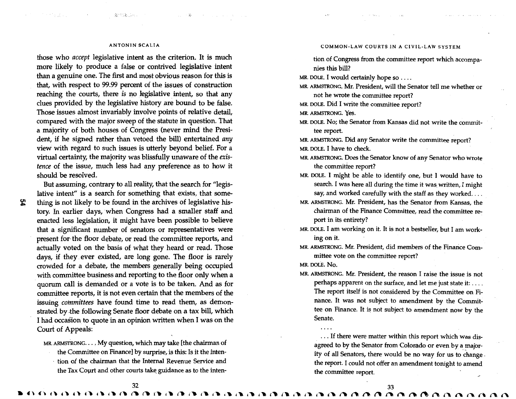:3019143-1520-1-11

The Canada Co

#### ANTONIN SCALIA

The Control of the Committee of the Control of the

those who *accept* legislative intent as the criterion. It is much more likely to produce a false or contrived legislative intent than a genuine one. The first and most obvious reason for this is that, with respect to 99.99 percent of the issues of construction reaching the courts, there *is* no legislative intent, so that any clues provided by the legislative history are bound to be false. Those issues almost invariably involve points of relative detail, compared with the major sweep of the statute in question. That a majority of both houses of Congress (never mind the President, if he signed rather than vetoed the bill) entertained *any*  view with regard to such issues is utterly beyond belief. For a virtual certainty, the majority was blissfully unaware of the *existence* of the issue, much less had any preference as to how it should be resolved.

But assuming, contrary to all reality, that the search for "legislative intent" is a search for something that exists, that some- ~ thing is not likely to be found in the archives of legislative history. In earlier days, when Congress had a smaller staff and enacted less legislation, it might have been possible to believe that a significant number of senators or representatives were present for the floor debate, or read the committee reports, and actually voted on the basis of what they heard or read. Those days, if they ever existed, are long gone. The floor is rarely crowded for a debate, the members generally being occupied with committee business and reporting to the floor only when a quorum call is demanded or a vote is to be taken. And as for committee reports, it is not even certain that the members of the issuing *committees* have found time to read them, as demonstrated by the following Senate floor debate on a tax bill, which I had occasion to quote in an opinion written when I was on the Court of Appeals:

> MR. ARMSTRONG. . . . My question, which may take [the chairman of the Committee on Finance] by surprise, is this: Is it the inten- . tion of the chairman that the Internal Revenue Service and the Tax Court and other courts take guidance as to the inten-

#### COMMON-LAW COURTS IN A CIVIL-LAW SYSTEM

tion of Congress from the committee report which accompanies this bill?

MR. DOLE. I would certainly hope so ....

MR. ARMSTRONG. Mr. President, will the Senator tell me whether or not he wrote the committee report?

MR. DOLE. Did I write the committee report?

MR. ARMSTRONG. Yes.

- MR. DOLE. No; the Senator from Kansas did not write the committee report.
- MR. ARMSTRONG. Did any Senator write the committee report? MR. DOLE. I have to check.
- MR. ARMSTRONG. Does the Senator know of any Senator who wrote the committee report?
- MR. DOLE. I might be able to identify one, but I would have to search. I was here all during the time it was written, I might say, and worked carefully with the staff as they worked....
- MR. ARMSTRONG. Mr. President, has the Senator from Kansas, the chairman of the Finance Committee, read the committee report in its entirety?

MR. DOLE. I am working on it. It is not a bestseller, but I am working on it.

MR. ARMSTRONG. Mr. President, did members of the Finance Committee vote on the committee report?

MR. DOLE. No.

MR. ARMSTRONG. Mr. President, the reason I raise the issue is not perhaps apparent on the surface, and let me just state it: .... The report itself is not considered by the Committee on Finance. It was not subject to amendment by the Committee on Finance. It is not subject to amendment now by the Senate.

... If there were matter within this report which was disagreed to by the Senator from Colorado or even by a majority of all Senators, there would be no way for us to change. the report. I could not offer an amendment tonight to amend the committee report.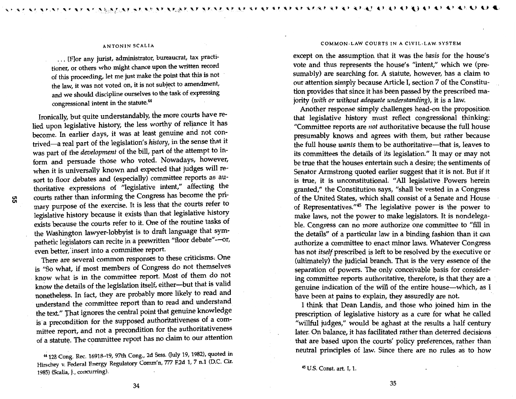... [F]or any jurist, administrator, bureaucrat, tax practitioner, or others who might chance upon the written record of this proceeding, let me just make the point that this is not the law, it was not voted on, it is not subject to amendment, and we should discipline ourselves to the task of expressing congressional intent in the statute.<sup>44</sup>

Ironically, but quite understandably, the more courts have relied upon legislative history, the less worthy of reliance it has become. In earlier days, it was at least genuine and not contrived-a real part of the legislation's *history,* in the sense that it was part of the *development* of the bill, part of the attempt to inform and persuade those who voted. Nowadays, however, when it is universally known and expected that judges will resort to floor debates and (especially) committee reports as authoritative expressions of "legislative intent," affecting the courts rather than informing the Congress has become the primary purpose of the exercise. It is less that the courts refer to legislative history because it exists than that legislative history exists because the courts refer to it. One of the routine tasks of the Washington lawyer-lobbyist is to draft language that sympathetic legislators can recite in a prewritten "floor debate"--- or, even better, insert into a committee report.

U1 ບາ

> There are several common responses to these criticisms. One is "So what, if most members of Congress do not themselves · know what is in the committee report. Most of them do not know the details of the legislation itself, either--but that is valid nonetheless. In fact, they are probably more likely to read and understand the committee report than to read and understand the text." That ignores the central point that genuine knowledge is a precondition for the supposed authoritativeness of a committee report, and not a precondition for the authoritativeness of a statute. The committee report has no claim to our attention

> <sup>44</sup> 128 Cong. Rec. 16918-19, 97th Cong., 2d Sess. Ouly 19, 1982), quoted in Hirschey v. Federal Energy Regulatory Comm'n, 777 F.2d 1, 7 n.1 (D.C. Cir. 1985) (Scalia,]., concurring).

### COMMON-LAW COURTS IN A CIVIL-LAW SYSTEM

વ્યુક્રાહ્ના કા વ્યુવર વસ્ત્રો દા કરતા છે હોય વા વા બોકો વા વાહો થયો. વેચ્ચી વધ્યો વધ્યો વધ્યો વધ્યો વા ન

except on the assumption that it was the *basis* for the house's vote and thus represents the house's "intent," which we (presumably) are searching for. A statute, however, has a claim to our attention simply because Article I, section 7 of the Constitu tion provides that since it has been passed by the prescribed majority *(with or without adequate understanding)*, it is a law.

Another response simply challenges head-on the proposition that legislative history must reflect congressional thinking: Commtttee reports are *not* authoritative because the full house presumably knows and agrees with them, but rather because the full house *wants* them to be authoritative-that is, leaves to its committees the details of its legislation." It may or may not be true that the houses entertain such a desire; the sentiments of Senator Armstrong quoted earlier suggest that it is not. But if it is true, it is unconstitutional. "All legislative Powers herein granted," the Constitution says, "shall be vested in a Congress of the United States, which shall consist of a Senate and House of Representatives."45 The legislative power is the power to make laws, not the power to make legislators. It is nondelegable. Congress can no more authorize one committee to "fill in the details" of a particular law in a binding fashion than it can authorize a committee to enact minor laws. Whatever Congress has not *itself* prescribed is left to be resolved by the executive or (ultimately) the judicial branch. That is the very essence of the separation of powers. The only conceivable basis for considering committee reports authoritative, therefore, is that they are a genuine indication of the will of the entire house-which, as I have been at pains to explain, they assuredly are not.

I think that Dean Landis, and those who joined him in the prescription of legislative history as a cure for what he called "willful judges," would be aghast at the results a half century later. On balance, it has facilitated rather than deterred decisions that are based upon the courts' policy preferences, rather than neutral principles of law. Since there are no rules as to how

45 U.S. Const. art. I, 1.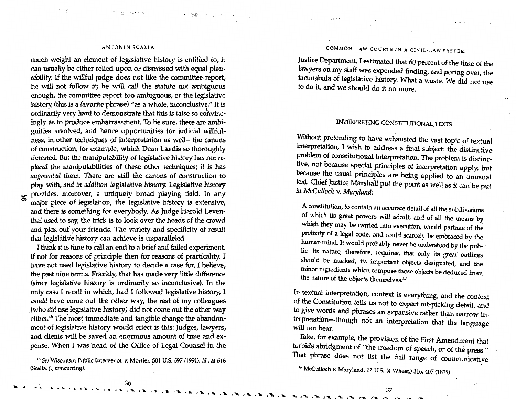数据的 计可变

- 1977年(魏) 2撃発動として、1977年に1978年にサービスにより至して

#### ANTONIN SCALIA

much weight an element of legislative history is entitled to, it can usually be either relied upon or dismissed with equal plausibility., If the willful judge does not like the committee report, he will not follow it; he will call the statute not ambiguous enough, the committee report too ambiguous, or the legislative history (this is a favorite phrase) "as a whole, inconclusive." It is ordinarily very hard to demonstrate that this is false so convincingly as to produce embarrassment. To be sure, there are ambiguities involved, and hence opportunities for judicial willfulness, in other techniques of interpretation as well-the canons of construction, for example, which Dean Landis so thoroughly detested. But the manipulability of legislative history has not *re-* . *placed* the manipulabilities of these other techniques; it is has *augmented* them. There are still the canons of construction to play with, *and in addition* legislative history. Legislative history provides, moreover, a uniquely broad playing field. In any major piece of legislation, the legislative history is extensive, and there is something for everybody. As Judge Harold Leventhal used to say, the trick is to look over the heads of the crowd and pick ouf your friends. The variety and specificity of result that legislative history can achieve is unparalleled.

I think it is time to call an end to a brief and failed experiment, if not for reasons of principle then for reasons of practicality. I have not used legislative history to decide a case for, I believe, the past nine terms. Frankly, that has made very little difference (since legislative history is ordinarily so inconclusive). In the only case I recall in which, had I followed legislative history, I *would* have come out the other way, the rest of my colleagues (who *did* use legislative history) did not come out the other way either.<sup>46</sup> The most immediate and tangible change the abandonment of legislative history would effect is this: Judges, lawyers, and clients will be saved an enormous amount of time and expense. When I was head of the Office of Legal Counsel in the

<sup>46</sup>*See* Wisconsin Public Intervenor v. Mortier, 501 U.S. 597 (1991); *id.,* at 616 (Scalia, J., concurring),

# COMMON-LAW COURTS IN A CIVIL-LAW SYSTEM

·,•.1•,·.

Justice Department, I estimated that 60 percent of the time of the lawyers on my staff was expended finding, and poring over, the incunabula of legislative history. What a waste. We did not use to do it, and we should do it no more.

# INTERPRETING CONSTITUTIONAL, TEXTS

Without pretending to have exhausted the vast topic of textual interpretation, I wish to address a final subject: the distinctive problem of constitutional interpretation. The problem is distinctive, not because special principles of interpretation apply, but because the usual principles are being applied to an unusual text. Chief Justice Marshall put the point as well as it can be put in *McCulloch* v. *Maryland:* 

A constitution, to contain an accurate detail of all the subdivisions of which its great powers will admit, and of all the means by whieh they may be carried into execution, would partake of the prolixity of a legal code, and could scarcely be embraced by the human mind. It would probably never be understood by the public. Its nature, therefore, requires, that only its great outlines should be marked, its important objects designated, and the minor ingredients which compose those objects be deduced from the nature of the objects themselves.<sup>47</sup>

In textual interpretation, context is everything, and the context of the Constitution tells us not to expect nit-picking detail, and to give words and phrases an expansive rather than narrow interpretation-though not an interpretation that the language will not bear.

Take, for example, the provision of the First Amendment that forbids abridgment of "the freedom of speech, or of the press." That phrase does not list the full range of communicative

47 McCulloch v. Maryland, 17 U.S. (4 Wheat.) 316, 407 {1819).

 $\mathcal{L}(\mathcal{M}) = \mathcal{L}(\mathcal{M}) = \mathcal{L}(\mathcal{M}) = \mathcal{L}(\mathcal{M}) = \mathcal{L}(\mathcal{M}) = \mathcal{L}(\mathcal{M}) = \mathcal{L}(\mathcal{M}) = \mathcal{L}(\mathcal{M}) = \mathcal{L}(\mathcal{M}) = \mathcal{L}(\mathcal{M}) = \mathcal{L}(\mathcal{M}) = \mathcal{L}(\mathcal{M}) = \mathcal{L}(\mathcal{M}) = \mathcal{L}(\mathcal{M}) = \mathcal{L}(\mathcal{M}) = \mathcal{L}(\mathcal{M}) = \mathcal{L}(\mathcal{M})$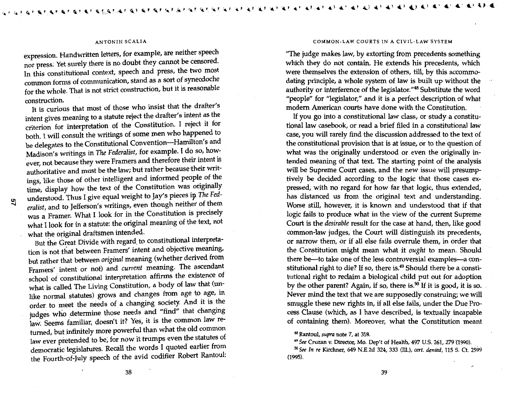expression. Handwritten letters, for example, are neither speech nor press; Yet surely there is no doubt they cannot be censored. In this constitutional context, speech and press, the two most common forms of communication, stand as a sort of synecdoche for the whole. That is not strict construction, but it is reasonable

construction.<br>It is curious that most of those who insist that the drafter's intent gives meaning to a statute reject the drafter's intent as the criterion for interpretation of the Constitution. I reject it for both. I will consult the writings of some men who happened to be delegates to the Constitutional Convention-Hamilton's and Madison's writings in *The Federalist,* for example. I do so, however, not because they were Framers and therefore their intent is authoritative and must be the law; but rather because their writings, like those of other intelligent and informed people of the time, display how the text of the Constitution was originally understood. Thus I give equal weight to Jay's pieces in The Fed*eralist* and to Jefferson's writings, even though neither of them was a Framer. What I look for in the Constitution is precisely what I look for in a statute: the original meaning of the text, not what the original draftsmen intended.

But the Great Divide with regard. to constitutional interpretation is not that between Framers' intent and objective meaning, but rather that between *original* meaning (whether derived from Framers' intent or not) and *current* meaning. The ascendant · school of constitutional interpretation affirms the existence of what is called The Living Constitution, a body of law that (unlike normal statutes) grows and changes from age to age, in order. to meet the needs of a changing society. And it is the judges who determine those needs and "find" that changing law. Seems familiar, doesn't it? Yes, it is the common law returned, but infinitely more powerful than what the old common law ever pretended to be, for now it trumps even the statutes of democratic legislatures. Recall the words I quoted earlier from the Fourth-of-July speech of the avid codifier Robert Rantoul:

#### COMMON-LAW COURTS IN A CIVIL-LAW SYSTEM

"The judge makes law, by extorting from precedents something which they do not contain. He extends his precedents, which were themselves the extension of others, till, by this accommodating principle, a whole system of law is built up without the authority or interference of the legislator."48 Substitute the word "people" for "legislator," and it is a perfect description of what modern American courts have done with the Constitution.

If you go into a constitutional law class, or study a constitutional law casebook, or read a brief filed in a constitutional law case, you will rarely find the discussion addressed to the text of the constitutional provision that is at issue, or to the question of what was the originally understood or even the originally intended meaning of that text. The starting point of the analysis will be Supreme Court cases, and the new issue will presumptively be decided according to the logic that those cases expressed; with no regard for how far that logic, thus extended, has distanced us from the original text and understanding. Worse still, however, it is known and understood that if that logic fails to produce what in the view of the current Supreme Court is the *desirable* result for the case at hand, then, like good common-law judges, the Court will distinguish its precedents, or narrow them, or if all else fails overrule them, in order that the Constitution might mean what it *ought* to mean. Should there be-to take one of the less controversial examples-a constitutional right to die? If so, there is.<sup>49</sup> Should there be a constitutional right to reclaim a biological child put out for adoption by the other parent? Again, if so, there is.<sup>50</sup> If it is good, it is so. Never mind the text that we are supposedly construing; we will smuggle these new rights in, if all else fails, under the Due Process Clause (which, as I have described, is textually incapable of containing them). Moreover, what the Constitution meant

48 Rantoul, *supra* note 7, at 318. 49 *See* Cruzan v. Director, Mo. Dep't of Health, 497 U.S. 261, 279'(1990).

<sup>50</sup>*See In re* Kirchner, 649 N.E.2d 324, 333 (Ill.), *cert. denied,* 115 S. Ct. 2599 (1995).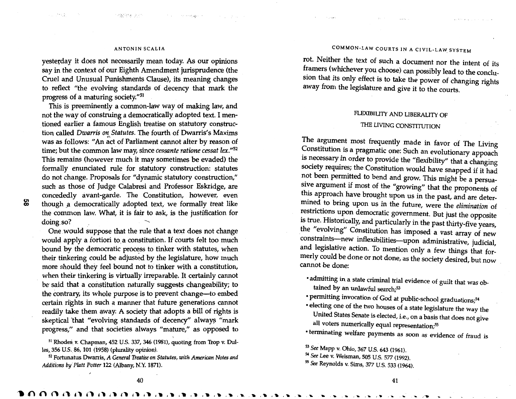**SUDMAN** 

ပ္ထ

.·::.: ,''.1

yesterday it does not necessarily mean today. As our opinions say in the context of our Eighth Amendment jurisprudence (the Cruel and Unusual Punishments Clause), its meaning changes to reflect "the evolving standards of decency that mark the progress of a maturing society."51

This is preeminently a common-law way of making law, and not the way of construing a democratically adopted text. I mentioned earlier a famous English treatise on statutory construction called *Dwarris on Statutes.* The fourth of Dwarris's Maxims was as follows: "An act of Parliament cannot alter by reason of time; but the common law may, since *cessante ratione cessat lex."52*  This remains (however much it may sometimes be evaded) the formally enunciated rule for statutory construction: statutes do not change. Proposals for "dynanuc statutory construction," such as those of Judge Calabresi and Professor Eskridge, are concededly avant-garde. The Constitution, however, even though a democratically adopted text, we formally treat like the common law. What, it is fair to ask, is the justification for doing so?

One would suppose that the rule that a text does not change would apply a fortiori to a constitution. If courts felt too much bound by the democratic process to tinker with statutes, when their tinkering could be adjusted by the legislature, how much more should they feel bound not to tinker with a constitution, when their tinkering is virtually irreparable. It certainly cannot be said that a constitution naturally suggests changeability; to the contrary, its whole purpose is to prevent change-to embed certain rights in such a manner that future generations cannot readily take them away. A society that adopts a bill of rights is skeptical that "evolving standards of decency" always "mark progress," and that societies always "mature," as opposed to

<sup>51</sup> Rhodes v. Chapman, 452 U.S. 337, 346 (1981), quoting from Trop v. Dulles,356 U.S.86, 101 (i958) (plurality opinion). 52 Fortunatus Dwarris, *A General Treatise on Statutes, with American Notes and* 

*Additions* by *Platt Potter* 122 (Albany, N.Y. 1871).

# COMMON-LAW COURTS IN A CIVIL-LAW SYSTEM

Contractor

rot. Neither the text of such a document nor the intent of its framers (whichever you choose) can possibly lead to the conclusion that its only effect is to take the power of changing rights away from the legislature and give it to the courts.

# FLEXIBILITY AND LIBERALITY OF

# THE LIVING CONSTITUTION

The argument most frequently made in favor of The Living Constitution is a pragmatic one: Such an evolutionary appoach is necessary in order to provide the "flexibility" that a changing society requires; the Constitution would have snapped if it had not been permitted to bend and grow. This might be a persuasive argument if most of the "growing" that the proponents of this approach have brought upon us in the past, and are determined to bring upon us in the future, were the *elimination* of restrictions upon democratic government. But just the opposite is true. Historically, and particularly in the past thirty-five years, the "evolving" Constitution has imposed a vast array of new constraints-new inflexibilities-upon administrative, judicial, and legislative action. To mention only a few things that formerly could be done or not done, as the society desired, but now cannot be done:

• admitting in a state criminal trial evidence of guilt that was obtained by an unlawful search;<sup>53</sup>

• permitting invocation of God at public-school graduations;<sup>54</sup>

• electing one of the two houses of a state legislature the way the United States Senate is elected, i.e., on a basis that does not give all voters numerically equal representation;<sup>55</sup>

• terminating welfare payments as soon as evidence of fraud is

- <sup>53</sup>*See* Mapp v. Ohio, 367 U.S. 643 (1961). 54 *See* Lee v. Weisman, 505 U.S. 577 (1992).
- 
- <sup>55</sup>*See* Reynolds v. Sims, 377 U.S. 533 (1964).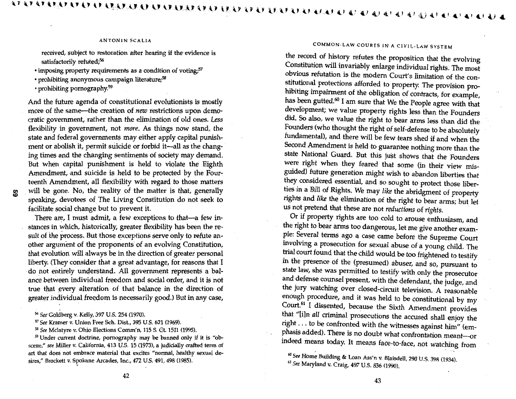received, subject to restoration after hearing if the evidence is satisfactorily refuted;<sup>56</sup>

- imposing property requirements as a condition of voting;<sup>57</sup>
- prohibiting anonymous campaign literature;<sup>58</sup>
- prohibiting pornography.<sup>59</sup>

ය

And the future agenda of constitutional evolutionists is mostly more of the same-the creation of *new* restrictions upon democratic government, rather than the elimination of old ones. *Less*  flexibility in government, not *more.* As things now stand, the state and federal governments may either apply capital punishment or abolish it, permit suicide or forbid it—all as the changing times and the changing sentiments of society may demand. But when capital punishment is held to violate the Eighth Amendment, and suicide is held to be protected by the Fourteenth Amendment, all flexibility with regard to those matters will be gone. No, the reality of the matter is that, generally speaking, devotees of The Living Constitution do not seek to facilitate social change but to prevent it.

There are, I must admit, a few exceptions to that-a few instances in which, historically, greater flexibility has been the result of the process. But those exceptions serve only to refute another argument of the proponents of an evolving Constitution, that evolution will always be in the direction of greater personal liberty. (They consider that a great advantage, for reasons that I do not entirely understand. All government represents a balance between individual freedom and social order, and it is not true that every alteration of that balance in the direction of greater individual freedom is necessarily good.) But in any case,

- <sup>56</sup>*See* Goldberg v. Kelly, 397 U.S. 254 (1970).
- <sup>57</sup>*See* Kramer v. Union Free Sch. Dist., 395 U.S. 621 (1969).
- <sup>58</sup> See McIntyre v. Ohio Elections Comm'n, 115 S. Gt. 1511 (1995).

<sup>59</sup> Under current doctrine, pornography may be banned only if it is "obscene," *see* Miller v. California, 413 U.S. 15 (1973), a judicially crafted term of art that does not embrace material that excites "normal, healthy sexual desires," Brockett v. Spokane Arcades, Inc., 472 U.S. 491, 498 (1985). '

# COMMON-LAW COURTS IN A CIVIL-LAW SYSTEM

the record of history refutes the proposition that the evolving Constitution will invariably enlarge individual rights. The most obvious refutation is the modern Court's limitation of the constitutional protections afforded to property. The provision prohibiting impairment of the obligation of contracts, for example, has been gutted.<sup>60</sup> I am sure that We the People agree with that development; we value property rights less than the Founders did. 5o also, we value the right to bear arms less than did the Founders (who thought the right of self-defense to be absolutely fundamental), and there will be few tears shed if and when the Second Amendment is held to guarantee nothing more than the state National Guard. But this just shows that the Founders were right when they feared that some (in their view misguided) future generation might wish to abandon liberties that they considered essential, and so sought to protect those liberties in a Bill of Rights. We may like the abridgment of property nghts and *like* the elimination of the right to bear arms; but let us not pretend that these are not *reductions* of *rights.* 

Or if property rights are too cold to arouse enthusiasm, and the right to bear arms too dangerous, let me give another example: Several terms ago a case came before the Supreme Court involving a prosecution for sexual abuse of a young child. The trial court found that the child would be too frightened to testify m the presence of the (presumed) abuser, and so, pursuant to state law, she was permitted to testify with only the prosecutor and defense counsel present, with the defendant, the judge, and the jury watching over closed-circuit television. A reasonable enough procedure, and it was held to be constitutional by my Court.<sup>61</sup> I dissented, because the Sixth Amendment provides that "[i]n *all* criminal prosecutions the accused shall enjoy the nght .... to be confronted with the witnesses against him" (emphasis added). There is no doubt what confrontation meant-or indeed means today. It means face-to-face, not watching from

<sup>&</sup>lt;sup>60</sup> See Home Building & Loan Ass'n v. Blaisdell, 290 U.S. 398 (1934).<br><sup>61</sup> See Maryland v. Craig, 497 U.S. 836 (1990).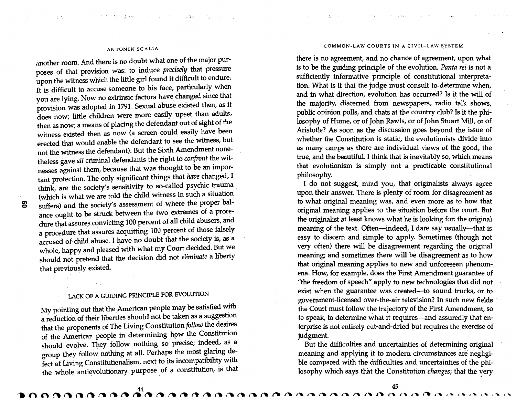문화학

#### ANTONIN SCALIA

another room. And there is no doubt what one of the major purposes of that provision was: to induce *precisely* that pressure upon the witness which the little girl found it difficult to endure. It is difficult to accuse someone to his face, particularly when you are lying. Now no extrinsic factors have changed since that provision was adopted in 1791. Sexual abuse existed then, as it does now; little children were more easily upset than adults, then as now; a means of placing the defendant out of sight of the witness existed then as now (a screen could easily have been erected that would enable the defendant to see the witness, but not the witness the defendant). But the Sixth Amendment nonetheless gave *all* criminal defendants the right to *confront* the witnesses against them, because that was thought to be an important protection. The only significant things that *have* changed, I think, are the society's sensitivity to so-called psychic trauma (which is what we are told the child witness in such a situation g suffers) and the society's assessment of. where the proper balance ought to be struck between the two extremes of a procedure that assures convicting 100 percent of all child abusers, and a procedure that assures acquitting 100 percent of those falsely accused of-child abuse. I have no doubt that the society is, as a whole, happy and pleased with what my Court decided. But we should not pretend that the decision did not *eliminate* a liberty that previously existed.

# LACK OF A GUIDING PRINCIPLE FOR EVOLUTION

My pointing out that the American people may be satisfied with a reduction of their liberties should not be taken as a suggestion that the proponents of The Living Constitution *follow* the desires of the American people in determining how the Constitution should evolve. They follow nothing so precise; indeed, as a group they follow nothing at all. Perhaps the most glaring defect of Living Constitutionalism, next to its incompatibility with the whole antievolutionary purpose of a constitution, is that

#### COMMON-LAW COURTS IN A CIVIL-LAW SYSTEM

there is no agreement, and no chance of agreement, upon what is to be the guiding principle of the evolution. *Fanta rei* is not a sufficiently informative principle of constitutional interpretation. What is it that the judge must consult to- determine when, and in what direction, evolution has occurred? Is it the will of the majority, discerned from newspapers, radio talk shows, public opinion polls, and chats at the country club? Is it the philosophy of Hume, or of John Rawls, or of John Stuart Mill, or of Aristotle? As soon as the discussion goes beyond the issue of whether the Constitution is static, the evolutionists divide into as many camps as there are individual views of the good, the true, and the beautiful. I think that is inevitably so, which means that evolutionism is simply not a practicable constitutional philosophy.

I do not suggest, mind you, that originalists always agree upon their answer. There is plenty of room for disagreement as to what original meaning was, and even more as to how that original meaning applies to the situation before the court. But the originalist at least knows what he is looking for: the original meaning of the text. Often--indeed, I dare say usually--that is easy to discern and simple to apply. Sometimes (though not very often) there will be disagreement regarding the original meaning; and sometimes there will be disagreement as to how that original meaning applies to new and unforeseen phenomena. How, for example, does the First Amendment guarantee of "the freedom of speech" apply to new technologies that did not exist when the guarantee was created-to sound trucks, or to government-licensed over-the-air television? In such new fields · the Court must follow the trajectory of the First Amendment, so to speak, to determine what it requires-and assuredly that enterprise is not entirely cut-and-dried but requires the exercise of judgment.

But the difficulties and uncertainties of determining original meaning and applying it to modern circumstances are negligible compared with the difficulties and uncertainties of the philosophy which says that the Constitution *changes*; that the very

44 45 ,,. n n ~ " " " " " " " " " " ~ .,.... " " .111 " ,, " " " " ,..,. " " " "' " " ,.,., "' ,, "' , , • , • .,. • .,. • , • .,. • ""